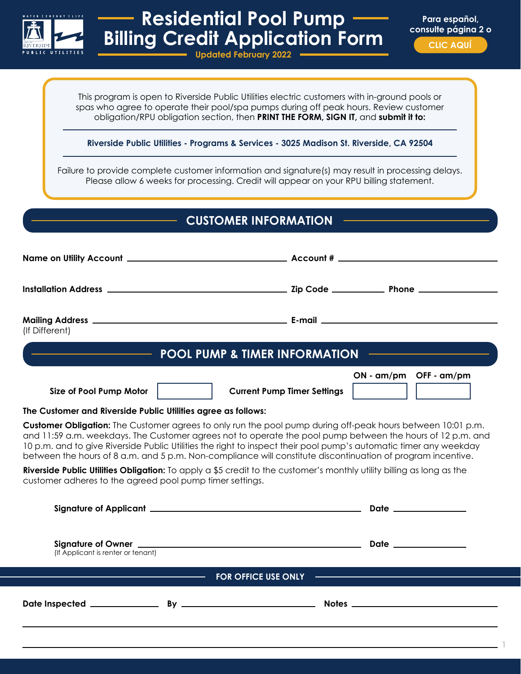

## **Residential Pool Pump Billing Credit Application Form**

**Para español, consulte página 2 o CLIC AQUÍ**

**1**

**Updated February 2022**

This program is open to Riverside Public Utilities electric customers with in-ground pools or spas who agree to operate their pool/spa pumps during off peak hours. Review customer obligation/RPU obligation section, then **PRINT THE FORM, SIGN IT,** and **submit it to:**

**Riverside Public Utilities - Programs & Services - 3025 Madison St. Riverside, CA 92504**

Failure to provide complete customer information and signature(s) may result in processing delays. Please allow 6 weeks for processing. Credit will appear on your RPU billing statement.

**CUSTOMER INFORMATION**

| (If Different)                                                                                                                                                                                                                                                                                                                                                                                                                                                                                                                                                                                                                                     |                        |  |  |  |  |
|----------------------------------------------------------------------------------------------------------------------------------------------------------------------------------------------------------------------------------------------------------------------------------------------------------------------------------------------------------------------------------------------------------------------------------------------------------------------------------------------------------------------------------------------------------------------------------------------------------------------------------------------------|------------------------|--|--|--|--|
| <b>EXAMPLE THE POOL PUMP &amp; TIMER INFORMATION CONTACT POOL PUMP &amp; TIMER INFORMATION</b>                                                                                                                                                                                                                                                                                                                                                                                                                                                                                                                                                     |                        |  |  |  |  |
| Size of Pool Pump Motor<br><b>Current Pump Timer Settings</b>                                                                                                                                                                                                                                                                                                                                                                                                                                                                                                                                                                                      | ON - am/pm OFF - am/pm |  |  |  |  |
| The Customer and Riverside Public Utilities agree as follows:                                                                                                                                                                                                                                                                                                                                                                                                                                                                                                                                                                                      |                        |  |  |  |  |
| Customer Obligation: The Customer agrees to only run the pool pump during off-peak hours between 10:01 p.m.<br>and 11:59 a.m. weekdays. The Customer agrees not to operate the pool pump between the hours of 12 p.m. and<br>10 p.m. and to give Riverside Public Utilities the right to inspect their pool pump's automatic timer any weekday<br>between the hours of 8 a.m. and 5 p.m. Non-compliance will constitute discontinuation of program incentive.<br>Riverside Public Utilities Obligation: To apply a \$5 credit to the customer's monthly utility billing as long as the<br>customer adheres to the agreed pool pump timer settings. |                        |  |  |  |  |
|                                                                                                                                                                                                                                                                                                                                                                                                                                                                                                                                                                                                                                                    | Date _____________     |  |  |  |  |
| (If Applicant is renter or tenant)                                                                                                                                                                                                                                                                                                                                                                                                                                                                                                                                                                                                                 |                        |  |  |  |  |
| <b>EXAMPLE 2018 THE CONSERVATION CONSERVATION CONSERVATION CONSERVATION CONSERVATION CONSERVATION CONSERVATION CONSERVATION</b><br><u> 1989 - Johann Barnett, fransk politik (d. 1989)</u>                                                                                                                                                                                                                                                                                                                                                                                                                                                         |                        |  |  |  |  |
|                                                                                                                                                                                                                                                                                                                                                                                                                                                                                                                                                                                                                                                    |                        |  |  |  |  |
|                                                                                                                                                                                                                                                                                                                                                                                                                                                                                                                                                                                                                                                    |                        |  |  |  |  |